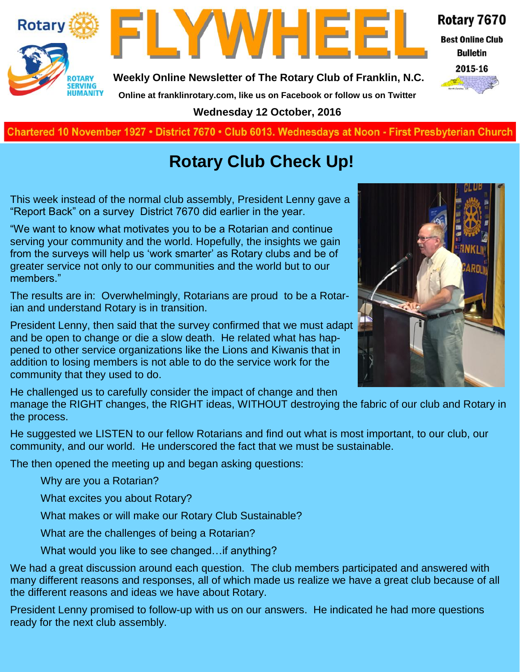



**Weekly Online Newsletter of The Rotary Club of Franklin, N.C.**

Rotary 7670

**Best Online Club Bulletin** 

2015-16

**Online at franklinrotary.com, like us on Facebook or follow us on Twitter**

**Wednesday 12 October, 2016**

**Charted November 29, 1927 • District 7670 • Club 6013 Wednesdays at Noon - First Presbyterian Church**

# **Rotary Club Check Up!**

This week instead of the normal club assembly, President Lenny gave a "Report Back" on a survey District 7670 did earlier in the year.

"We want to know what motivates you to be a Rotarian and continue serving your community and the world. Hopefully, the insights we gain from the surveys will help us 'work smarter' as Rotary clubs and be of greater service not only to our communities and the world but to our members."

The results are in: Overwhelmingly, Rotarians are proud to be a Rotarian and understand Rotary is in transition.

President Lenny, then said that the survey confirmed that we must adapt and be open to change or die a slow death. He related what has happened to other service organizations like the Lions and Kiwanis that in addition to losing members is not able to do the service work for the community that they used to do.

He challenged us to carefully consider the impact of change and then

manage the RIGHT changes, the RIGHT ideas, WITHOUT destroying the fabric of our club and Rotary in the process.

He suggested we LISTEN to our fellow Rotarians and find out what is most important, to our club, our community, and our world. He underscored the fact that we must be sustainable.

The then opened the meeting up and began asking questions:

Why are you a Rotarian?

What excites you about Rotary?

What makes or will make our Rotary Club Sustainable?

What are the challenges of being a Rotarian?

What would you like to see changed…if anything?

We had a great discussion around each question. The club members participated and answered with many different reasons and responses, all of which made us realize we have a great club because of all the different reasons and ideas we have about Rotary.

President Lenny promised to follow-up with us on our answers. He indicated he had more questions ready for the next club assembly.

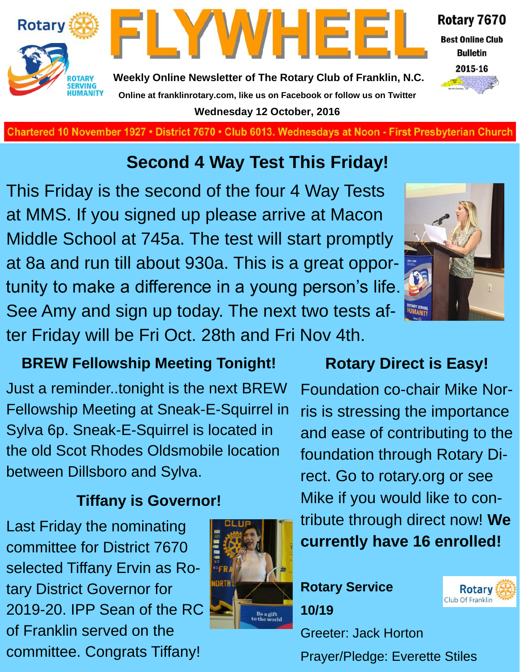

**Charted November 29, 1927 • District 7670 • Club 6013 Wednesdays at Noon - First Presbyterian Church**

**Wednesday 12 October, 2016**

# **Second 4 Way Test This Friday!**

This Friday is the second of the four 4 Way Tests at MMS. If you signed up please arrive at Macon Middle School at 745a. The test will start promptly at 8a and run till about 930a. This is a great opportunity to make a difference in a young person's life. See Amy and sign up today. The next two tests after Friday will be Fri Oct. 28th and Fri Nov 4th.

#### **BREW Fellowship Meeting Tonight!**

Just a reminder..tonight is the next BREW Fellowship Meeting at Sneak-E-Squirrel in Sylva 6p. Sneak-E-Squirrel is located in the old Scot Rhodes Oldsmobile location between Dillsboro and Sylva.

### **Tiffany is Governor!**

Last Friday the nominating committee for District 7670 selected Tiffany Ervin as Rotary District Governor for 2019-20. IPP Sean of the RC of Franklin served on the committee. Congrats Tiffany!







Foundation co-chair Mike Norris is stressing the importance and ease of contributing to the foundation through Rotary Direct. Go to rotary.org or see Mike if you would like to contribute through direct now! **We currently have 16 enrolled!**

## **Rotary Service 10/19**



Greeter: Jack Horton Prayer/Pledge: Everette Stiles

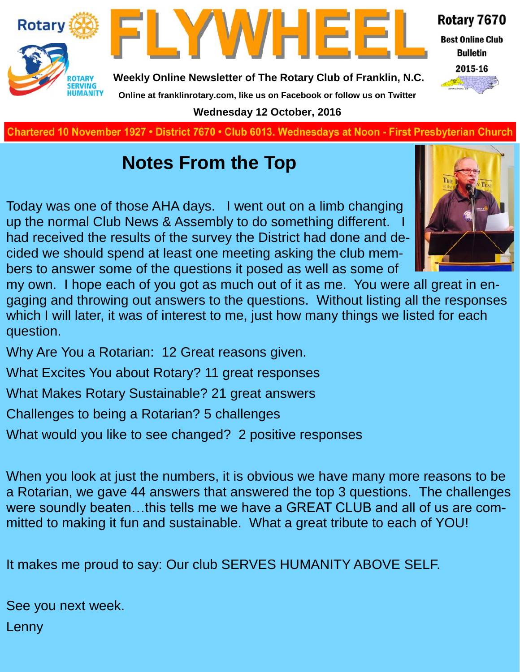

**Charted November 29, 1927 • District 7670 • Club 6013 Wednesdays at Noon - First Presbyterian Church**

# **Notes From the Top**

Today was one of those AHA days. I went out on a limb changing up the normal Club News & Assembly to do something different. had received the results of the survey the District had done and decided we should spend at least one meeting asking the club members to answer some of the questions it posed as well as some of



my own. I hope each of you got as much out of it as me. You were all great in engaging and throwing out answers to the questions. Without listing all the responses which I will later, it was of interest to me, just how many things we listed for each question.

Why Are You a Rotarian: 12 Great reasons given.

What Excites You about Rotary? 11 great responses

What Makes Rotary Sustainable? 21 great answers

Challenges to being a Rotarian? 5 challenges

What would you like to see changed? 2 positive responses

When you look at just the numbers, it is obvious we have many more reasons to be a Rotarian, we gave 44 answers that answered the top 3 questions. The challenges were soundly beaten…this tells me we have a GREAT CLUB and all of us are committed to making it fun and sustainable. What a great tribute to each of YOU!

It makes me proud to say: Our club SERVES HUMANITY ABOVE SELF.

See you next week.

Lenny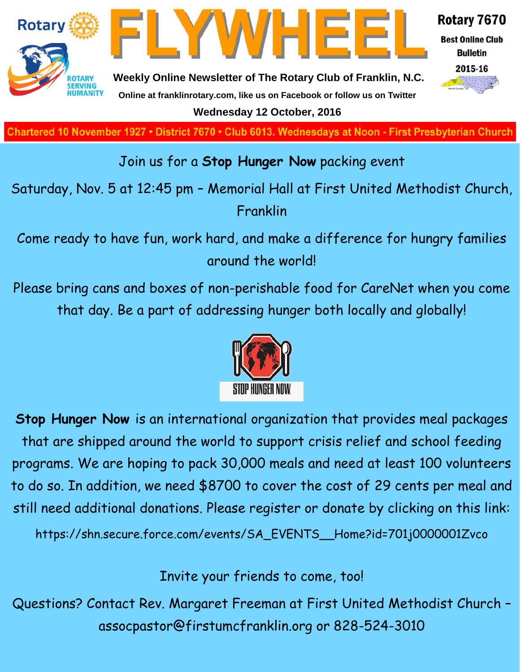

**Charted November 29, 1927 • District 7670 • Club 6013 Wednesdays at Noon - First Presbyterian Church**

#### Join us for a **Stop Hunger Now** packing event

Saturday, Nov. 5 at 12:45 pm – Memorial Hall at First United Methodist Church, Franklin

Come ready to have fun, work hard, and make a difference for hungry families around the world!

Please bring cans and boxes of non-perishable food for CareNet when you come that day. Be a part of addressing hunger both locally and globally!



**Stop Hunger Now** is an international organization that provides meal packages that are shipped around the world to support crisis relief and school feeding programs. We are hoping to pack 30,000 meals and need at least 100 volunteers to do so. In addition, we need \$8700 to cover the cost of 29 cents per meal and still need additional donations. Please register or donate by clicking on this link:

https://shn.secure.force.com/events/SA\_EVENTS\_\_Home?id=701j0000001Zvco

Invite your friends to come, too!

Questions? Contact Rev. Margaret Freeman at First United Methodist Church – assocpastor@firstumcfranklin.org or 828-524-3010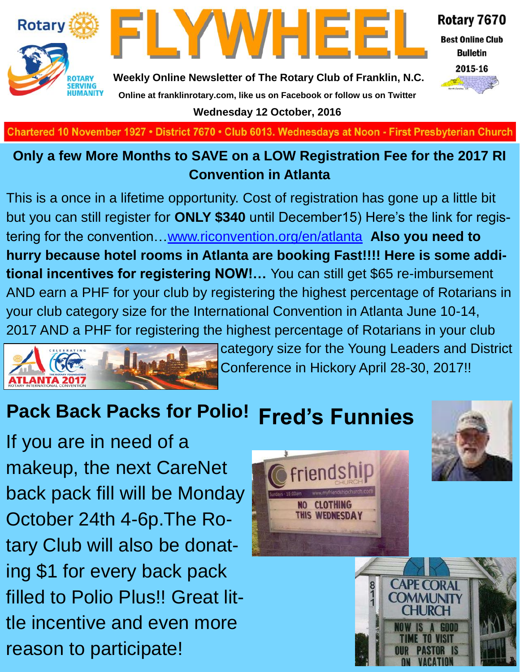



Rotary 7670

**Best Online Club Bulletin** 



**Weekly Online Newsletter of The Rotary Club of Franklin, N.C. Online at franklinrotary.com, like us on Facebook or follow us on Twitter**

**Wednesday 12 October, 2016**

Chartered 10 November 1927 • District 7670 • Club 6013. Wednesdays at Noon - First Presbyterian Church

#### **Only a few More Months to SAVE on a LOW Registration Fee for the 2017 RI Convention in Atlanta**

This is a once in a lifetime opportunity. Cost of registration has gone up a little bit but you can still register for **ONLY \$340** until December15) Here's the link for registering for the convention…[www.riconvention.org/en/atlanta](http://www.riconvention.org/en/atlanta) **Also you need to hurry because hotel rooms in Atlanta are booking Fast!!!! Here is some additional incentives for registering NOW!…** You can still get \$65 re-imbursement AND earn a PHF for your club by registering the highest percentage of Rotarians in your club category size for the International Convention in Atlanta June 10-14, 2017 AND a PHF for registering the highest percentage of Rotarians in your club



category size for the Young Leaders and District Conference in Hickory April 28-30, 2017!!

#### **Pack Back Packs for Polio! Fred's Funnies**

If you are in need of a makeup, the next CareNet back pack fill will be Monday October 24th 4-6p.The Rotary Club will also be donating \$1 for every back pack filled to Polio Plus!! Great little incentive and even more reason to participate!